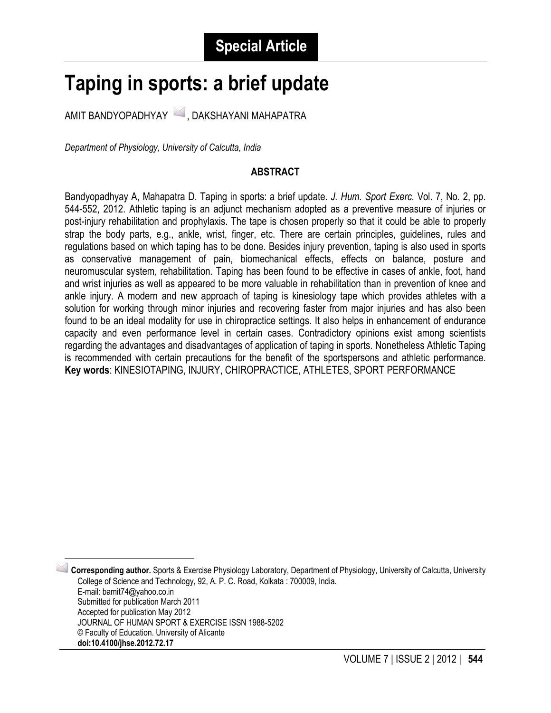# **Taping in sports: a brief update**

AMIT BANDYOPADHYAY 4, DAKSHAYANI MAHAPATRA

*Department of Physiology, University of Calcutta, India*

 $\overline{\phantom{a}}$ 

#### **ABSTRACT**

Bandyopadhyay A, Mahapatra D. Taping in sports: a brief update. *J. Hum. Sport Exerc.* Vol. 7, No. 2, pp. 544-552, 2012. Athletic taping is an adjunct mechanism adopted as a preventive measure of injuries or post-injury rehabilitation and prophylaxis. The tape is chosen properly so that it could be able to properly strap the body parts, e.g., ankle, wrist, finger, etc. There are certain principles, guidelines, rules and regulations based on which taping has to be done. Besides injury prevention, taping is also used in sports as conservative management of pain, biomechanical effects, effects on balance, posture and neuromuscular system, rehabilitation. Taping has been found to be effective in cases of ankle, foot, hand and wrist injuries as well as appeared to be more valuable in rehabilitation than in prevention of knee and ankle injury. A modern and new approach of taping is kinesiology tape which provides athletes with a solution for working through minor injuries and recovering faster from major injuries and has also been found to be an ideal modality for use in chiropractice settings. It also helps in enhancement of endurance capacity and even performance level in certain cases. Contradictory opinions exist among scientists regarding the advantages and disadvantages of application of taping in sports. Nonetheless Athletic Taping is recommended with certain precautions for the benefit of the sportspersons and athletic performance. **Key words**: KINESIOTAPING, INJURY, CHIROPRACTICE, ATHLETES, SPORT PERFORMANCE

<span id="page-0-0"></span><sup>1</sup> **Corresponding author.** Sports & Exercise Physiology Laboratory, Department of Physiology, University of Calcutta, University College of Science and Technology, 92, A. P. C. Road, Kolkata : 700009, India. E-mail: bamit74@yahoo.co.in Submitted for publication March 2011 Accepted for publication May 2012 JOURNAL OF HUMAN SPORT & EXERCISE ISSN 1988-5202 © Faculty of Education. University of Alicante **doi:10.4100/jhse.2012.72.17**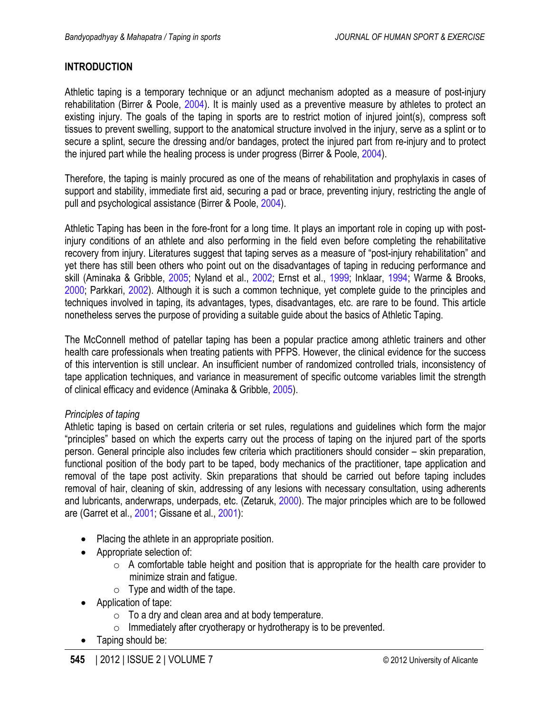# <span id="page-1-0"></span>**INTRODUCTION**

Athletic taping is a temporary technique or an adjunct mechanism adopted as a measure of post-injury rehabilitation (Birrer & Poole, [2004](#page-6-0)). It is mainly used as a preventive measure by athletes to protect an existing injury. The goals of the taping in sports are to restrict motion of injured joint(s), compress soft tissues to prevent swelling, support to the anatomical structure involved in the injury, serve as a splint or to secure a splint, secure the dressing and/or bandages, protect the injured part from re-injury and to protect the injured part while the healing process is under progress (Birrer & Poole, [2004](#page-6-0)).

Therefore, the taping is mainly procured as one of the means of rehabilitation and prophylaxis in cases of support and stability, immediate first aid, securing a pad or brace, preventing injury, restricting the angle of pull and psychological assistance (Birrer & Poole, [2004](#page-6-0)).

Athletic Taping has been in the fore-front for a long time. It plays an important role in coping up with postinjury conditions of an athlete and also performing in the field even before completing the rehabilitative recovery from injury. Literatures suggest that taping serves as a measure of "post-injury rehabilitation" and yet there has still been others who point out on the disadvantages of taping in reducing performance and skill (Aminaka & Gribble, [2005](#page-6-0); Nyland et al., [2002;](#page-7-0) Ernst et al., [1999](#page-7-0); Inklaar, [1994](#page-7-0); Warme & Brooks, [2000;](#page-8-0) Parkkari, [2002\)](#page-8-0). Although it is such a common technique, yet complete guide to the principles and techniques involved in taping, its advantages, types, disadvantages, etc. are rare to be found. This article nonetheless serves the purpose of providing a suitable guide about the basics of Athletic Taping.

The McConnell method of patellar taping has been a popular practice among athletic trainers and other health care professionals when treating patients with PFPS. However, the clinical evidence for the success of this intervention is still unclear. An insufficient number of randomized controlled trials, inconsistency of tape application techniques, and variance in measurement of specific outcome variables limit the strength of clinical efficacy and evidence (Aminaka & Gribble, [2005](#page-6-0)).

# *Principles of taping*

Athletic taping is based on certain criteria or set rules, regulations and guidelines which form the major "principles" based on which the experts carry out the process of taping on the injured part of the sports person. General principle also includes few criteria which practitioners should consider – skin preparation, functional position of the body part to be taped, body mechanics of the practitioner, tape application and removal of the tape post activity. Skin preparations that should be carried out before taping includes removal of hair, cleaning of skin, addressing of any lesions with necessary consultation, using adherents and lubricants, anderwraps, underpads, etc. (Zetaruk, [2000\)](#page-8-0). The major principles which are to be followed are (Garret et al., [2001;](#page-7-0) Gissane et al., [2001](#page-7-0)):

- Placing the athlete in an appropriate position.
- Appropriate selection of:
	- $\circ$  A comfortable table height and position that is appropriate for the health care provider to minimize strain and fatigue.
	- $\circ$  Type and width of the tape.
- Application of tape:
	- $\circ$  To a drv and clean area and at body temperature.
	- $\circ$  Immediately after cryotherapy or hydrotherapy is to be prevented.
- Taping should be: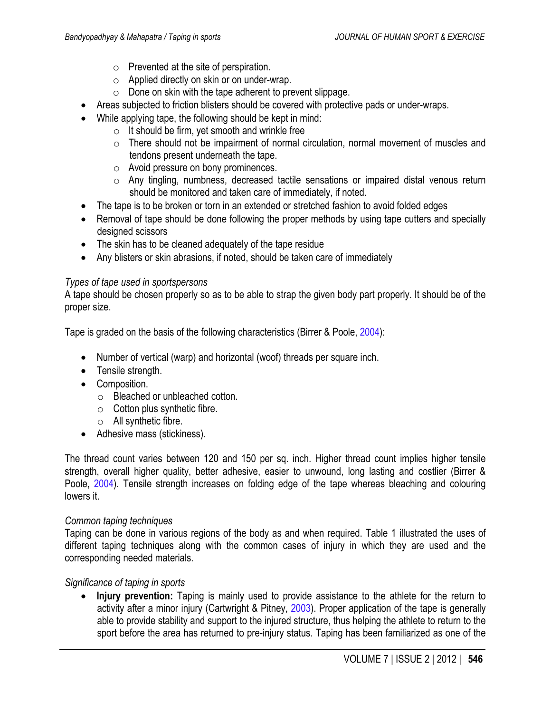- o Prevented at the site of perspiration.
- o Applied directly on skin or on under-wrap.
- $\circ$  Done on skin with the tape adherent to prevent slippage.
- <span id="page-2-0"></span>• Areas subjected to friction blisters should be covered with protective pads or under-wraps.
- While applying tape, the following should be kept in mind:
	- $\circ$  It should be firm, vet smooth and wrinkle free
	- $\circ$  There should not be impairment of normal circulation, normal movement of muscles and tendons present underneath the tape.
	- o Avoid pressure on bony prominences.
	- o Any tingling, numbness, decreased tactile sensations or impaired distal venous return should be monitored and taken care of immediately, if noted.
- The tape is to be broken or torn in an extended or stretched fashion to avoid folded edges
- Removal of tape should be done following the proper methods by using tape cutters and specially designed scissors
- The skin has to be cleaned adequately of the tape residue
- Any blisters or skin abrasions, if noted, should be taken care of immediately

# *Types of tape used in sportspersons*

A tape should be chosen properly so as to be able to strap the given body part properly. It should be of the proper size.

Tape is graded on the basis of the following characteristics (Birrer & Poole, [2004\)](#page-6-0):

- Number of vertical (warp) and horizontal (woof) threads per square inch.
- Tensile strength.
- Composition.
	- o Bleached or unbleached cotton.
	- $\circ$  Cotton plus synthetic fibre.
	- o All synthetic fibre.
- Adhesive mass (stickiness).

The thread count varies between 120 and 150 per sq. inch. Higher thread count implies higher tensile strength, overall higher quality, better adhesive, easier to unwound, long lasting and costlier (Birrer & Poole, [2004](#page-6-0)). Tensile strength increases on folding edge of the tape whereas bleaching and colouring lowers it.

# *Common taping techniques*

Taping can be done in various regions of the body as and when required. Table [1](#page-4-0) illustrated the uses of different taping techniques along with the common cases of injury in which they are used and the corresponding needed materials.

# *Significance of taping in sports*

• **Injury prevention:** Taping is mainly used to provide assistance to the athlete for the return to activity after a minor injury (Cartwright & Pitney, [2003](#page-7-0)). Proper application of the tape is generally able to provide stability and support to the injured structure, thus helping the athlete to return to the sport before the area has returned to pre-injury status. Taping has been familiarized as one of the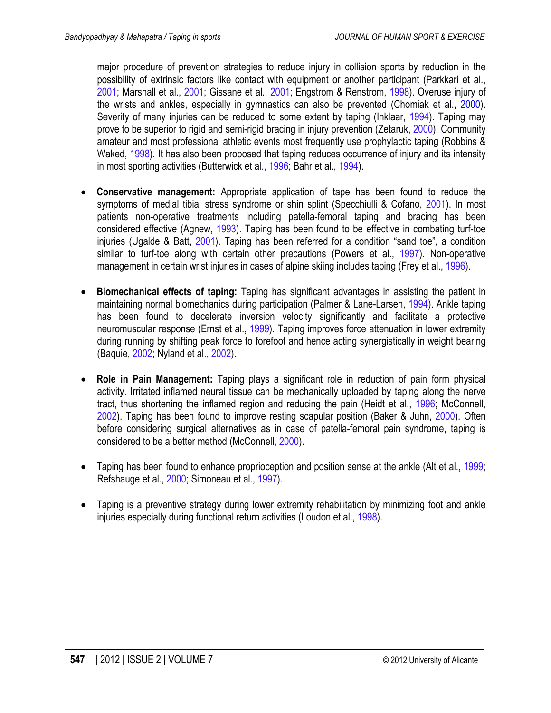<span id="page-3-0"></span>major procedure of prevention strategies to reduce injury in collision sports by reduction in the possibility of extrinsic factors like contact with equipment or another participant (Parkkari et al., [2001;](#page-8-0) Marshall et al., [2001;](#page-7-0) Gissane et al., [2001](#page-7-0); Engstrom & Renstrom, [1998\)](#page-7-0). Overuse injury of the wrists and ankles, especially in gymnastics can also be prevented (Chomiak et al., [2000\)](#page-7-0). Severity of many injuries can be reduced to some extent by taping (Inklaar, [1994](#page-7-0)). Taping may prove to be superior to rigid and semi-rigid bracing in injury prevention (Zetaruk, [2000](#page-8-0)). Community amateur and most professional athletic events most frequently use prophylactic taping (Robbins & Waked, [1998](#page-8-0)). It has also been proposed that taping reduces occurrence of injury and its intensity in most sporting activities (Butterwick et al., [1996;](#page-6-0) Bahr et al., [1994](#page-6-0)).

- **Conservative management:** Appropriate application of tape has been found to reduce the symptoms of medial tibial stress syndrome or shin splint (Specchiulli & Cofano, [2001\)](#page-8-0). In most patients non-operative treatments including patella-femoral taping and bracing has been considered effective (Agnew, [1993](#page-6-0)). Taping has been found to be effective in combating turf-toe injuries (Ugalde & Batt, [2001](#page-8-0)). Taping has been referred for a condition "sand toe", a condition similar to turf-toe along with certain other precautions (Powers et al., [1997](#page-8-0)). Non-operative management in certain wrist injuries in cases of alpine skiing includes taping (Frey et al., [1996](#page-7-0)).
- **Biomechanical effects of taping:** Taping has significant advantages in assisting the patient in maintaining normal biomechanics during participation (Palmer & Lane-Larsen, [1994\)](#page-8-0). Ankle taping has been found to decelerate inversion velocity significantly and facilitate a protective neuromuscular response (Ernst et al., [1999](#page-7-0)). Taping improves force attenuation in lower extremity during running by shifting peak force to forefoot and hence acting synergistically in weight bearing (Baquie, [2002](#page-6-0); Nyland et al., [2002\)](#page-7-0).
- **Role in Pain Management:** Taping plays a significant role in reduction of pain form physical activity. Irritated inflamed neural tissue can be mechanically uploaded by taping along the nerve tract, thus shortening the inflamed region and reducing the pain (Heidt et al., [1996;](#page-7-0) McConnell, [2002\)](#page-7-0). Taping has been found to improve resting scapular position (Baker & Juhn, [2000\)](#page-6-0). Often before considering surgical alternatives as in case of patella-femoral pain syndrome, taping is considered to be a better method (McConnell, [2000](#page-7-0)).
- Taping has been found to enhance proprioception and position sense at the ankle (Alt et al., [1999](#page-6-0); Refshauge et al., [2000](#page-8-0); Simoneau et al., [1997](#page-8-0)).
- Taping is a preventive strategy during lower extremity rehabilitation by minimizing foot and ankle injuries especially during functional return activities (Loudon et al., [1998](#page-7-0)).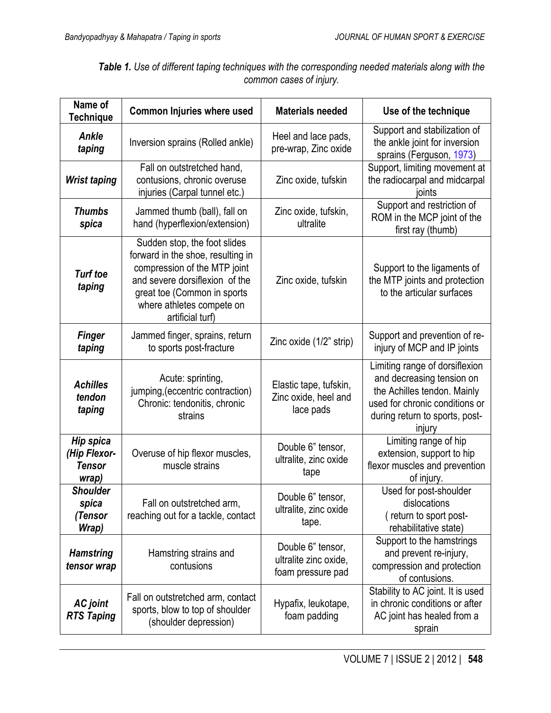<span id="page-4-0"></span>

| Name of<br><b>Technique</b>                                | <b>Common Injuries where used</b>                                                                                                                                                                                   | <b>Materials needed</b>                                         | Use of the technique                                                                                                                                                     |
|------------------------------------------------------------|---------------------------------------------------------------------------------------------------------------------------------------------------------------------------------------------------------------------|-----------------------------------------------------------------|--------------------------------------------------------------------------------------------------------------------------------------------------------------------------|
| <b>Ankle</b><br>taping                                     | Inversion sprains (Rolled ankle)                                                                                                                                                                                    | Heel and lace pads,<br>pre-wrap, Zinc oxide                     | Support and stabilization of<br>the ankle joint for inversion<br>sprains (Ferguson, 1973)                                                                                |
| <b>Wrist taping</b>                                        | Fall on outstretched hand,<br>contusions, chronic overuse<br>injuries (Carpal tunnel etc.)                                                                                                                          | Zinc oxide, tufskin                                             | Support, limiting movement at<br>the radiocarpal and midcarpal<br>joints                                                                                                 |
| <b>Thumbs</b><br>spica                                     | Jammed thumb (ball), fall on<br>hand (hyperflexion/extension)                                                                                                                                                       | Zinc oxide, tufskin,<br>ultralite                               | Support and restriction of<br>ROM in the MCP joint of the<br>first ray (thumb)                                                                                           |
| <b>Turf toe</b><br>taping                                  | Sudden stop, the foot slides<br>forward in the shoe, resulting in<br>compression of the MTP joint<br>and severe dorsiflexion of the<br>great toe (Common in sports<br>where athletes compete on<br>artificial turf) | Zinc oxide, tufskin                                             | Support to the ligaments of<br>the MTP joints and protection<br>to the articular surfaces                                                                                |
| <b>Finger</b><br>taping                                    | Jammed finger, sprains, return<br>to sports post-fracture                                                                                                                                                           | Zinc oxide (1/2" strip)                                         | Support and prevention of re-<br>injury of MCP and IP joints                                                                                                             |
| <b>Achilles</b><br>tendon<br>taping                        | Acute: sprinting,<br>jumping, (eccentric contraction)<br>Chronic: tendonitis, chronic<br>strains                                                                                                                    | Elastic tape, tufskin,<br>Zinc oxide, heel and<br>lace pads     | Limiting range of dorsiflexion<br>and decreasing tension on<br>the Achilles tendon. Mainly<br>used for chronic conditions or<br>during return to sports, post-<br>injury |
| <b>Hip spica</b><br>(Hip Flexor-<br><b>Tensor</b><br>wrap) | Overuse of hip flexor muscles,<br>muscle strains                                                                                                                                                                    | Double 6" tensor,<br>ultralite, zinc oxide<br>tape              | Limiting range of hip<br>extension, support to hip<br>flexor muscles and prevention<br>of injury.                                                                        |
| <b>Shoulder</b><br>spica<br>(Tensor<br>Wrap)               | Fall on outstretched arm,<br>reaching out for a tackle, contact                                                                                                                                                     | Double 6" tensor,<br>ultralite, zinc oxide<br>tape.             | Used for post-shoulder<br>dislocations<br>(return to sport post-<br>rehabilitative state)                                                                                |
| <b>Hamstring</b><br>tensor wrap                            | Hamstring strains and<br>contusions                                                                                                                                                                                 | Double 6" tensor,<br>ultralite zinc oxide,<br>foam pressure pad | Support to the hamstrings<br>and prevent re-injury,<br>compression and protection<br>of contusions.                                                                      |
| <b>AC</b> joint<br><b>RTS Taping</b>                       | Fall on outstretched arm, contact<br>sports, blow to top of shoulder<br>(shoulder depression)                                                                                                                       | Hypafix, leukotape,<br>foam padding                             | Stability to AC joint. It is used<br>in chronic conditions or after<br>AC joint has healed from a<br>sprain                                                              |

*Table 1. Use of different taping techniques with the corresponding needed materials along with the common cases of injury.*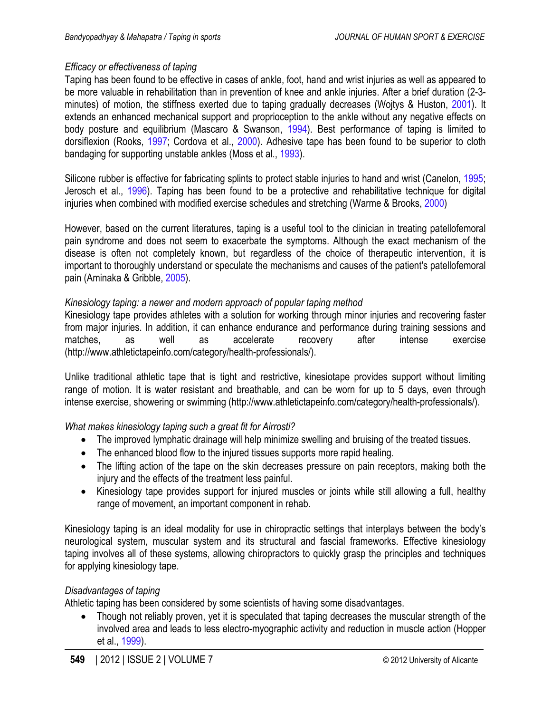# <span id="page-5-0"></span>*Efficacy or effectiveness of taping*

Taping has been found to be effective in cases of ankle, foot, hand and wrist injuries as well as appeared to be more valuable in rehabilitation than in prevention of knee and ankle injuries. After a brief duration (2-3 minutes) of motion, the stiffness exerted due to taping gradually decreases (Wojtys & Huston, [2001](#page-8-0)). It extends an enhanced mechanical support and proprioception to the ankle without any negative effects on body posture and equilibrium (Mascaro & Swanson, [1994](#page-7-0)). Best performance of taping is limited to dorsiflexion (Rooks, [1997;](#page-8-0) Cordova et al., [2000\)](#page-7-0). Adhesive tape has been found to be superior to cloth bandaging for supporting unstable ankles (Moss et al., [1993\)](#page-7-0).

Silicone rubber is effective for fabricating splints to protect stable injuries to hand and wrist (Canelon, [1995](#page-7-0); Jerosch et al., [1996](#page-7-0)). Taping has been found to be a protective and rehabilitative technique for digital injuries when combined with modified exercise schedules and stretching (Warme & Brooks, [2000\)](#page-8-0)

However, based on the current literatures, taping is a useful tool to the clinician in treating patellofemoral pain syndrome and does not seem to exacerbate the symptoms. Although the exact mechanism of the disease is often not completely known, but regardless of the choice of therapeutic intervention, it is important to thoroughly understand or speculate the mechanisms and causes of the patient's patellofemoral pain (Aminaka & Gribble, [2005\)](#page-6-0).

# *Kinesiology taping: a newer and modern approach of popular taping method*

Kinesiology tape provides athletes with a solution for working through minor injuries and recovering faster from major injuries. In addition, it can enhance endurance and performance during training sessions and matches, as well as accelerate recovery after intense exercise [\(http://www.athletictapeinfo.com/category/health-professionals/\)](http://www.athletictapeinfo.com/category/health-professionals/).

Unlike traditional athletic tape that is tight and restrictive, kinesiotape provides support without limiting range of motion. It is water resistant and breathable, and can be worn for up to 5 days, even through intense exercise, showering or swimming (http://www.athletictapeinfo.com/category/health-professionals/).

# *What makes kinesiology taping such a great fit for Airrosti?*

- The improved lymphatic drainage will help minimize swelling and bruising of the treated tissues.
- The enhanced blood flow to the injured tissues supports more rapid healing.
- The lifting action of the tape on the skin decreases pressure on pain receptors, making both the injury and the effects of the treatment less painful.
- Kinesiology tape provides support for injured muscles or joints while still allowing a full, healthy range of movement, an important component in rehab.

Kinesiology taping is an ideal modality for use in chiropractic settings that interplays between the body's neurological system, muscular system and its structural and fascial frameworks. Effective kinesiology taping involves all of these systems, allowing chiropractors to quickly grasp the principles and techniques for applying kinesiology tape.

# *Disadvantages of taping*

Athletic taping has been considered by some scientists of having some disadvantages.

• Though not reliably proven, yet it is speculated that taping decreases the muscular strength of the involved area and leads to less electro-myographic activity and reduction in muscle action (Hopper et al., 1999).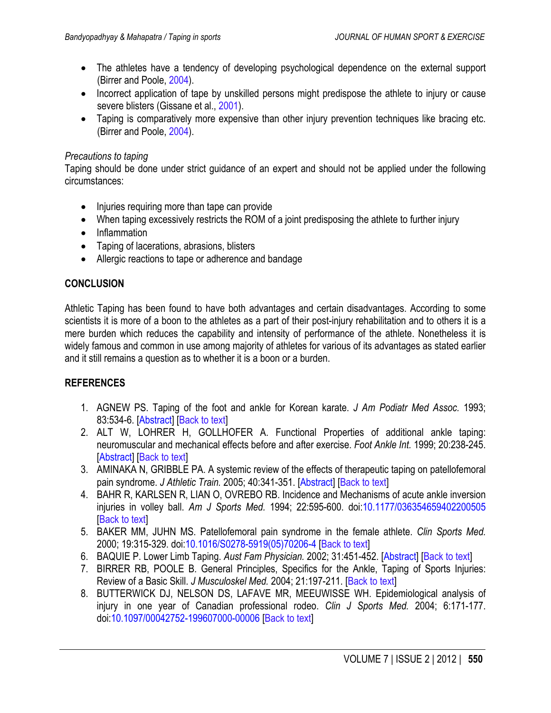- <span id="page-6-0"></span>• The athletes have a tendency of developing psychological dependence on the external support (Birrer and Poole, 2004).
- Incorrect application of tape by unskilled persons might predispose the athlete to injury or cause severe blisters (Gissane et al., [2001\)](#page-7-0).
- Taping is comparatively more expensive than other injury prevention techniques like bracing etc. (Birrer and Poole, 2004).

# *Precautions to taping*

Taping should be done under strict guidance of an expert and should not be applied under the following circumstances:

- Injuries requiring more than tape can provide
- When taping excessively restricts the ROM of a joint predisposing the athlete to further injury
- Inflammation
- Taping of lacerations, abrasions, blisters
- Allergic reactions to tape or adherence and bandage

# **CONCLUSION**

Athletic Taping has been found to have both advantages and certain disadvantages. According to some scientists it is more of a boon to the athletes as a part of their post-injury rehabilitation and to others it is a mere burden which reduces the capability and intensity of performance of the athlete. Nonetheless it is widely famous and common in use among majority of athletes for various of its advantages as stated earlier and it still remains a question as to whether it is a boon or a burden.

# **REFERENCES**

- 1. AGNEW PS. Taping of the foot and ankle for Korean karate. *J Am Podiatr Med Assoc.* 1993; 83:534-6. [\[Abstract\]](hhttp://www.ncbi.nlm.nih.gov/pubmed/7904644) [\[Back to text\]](#page-3-0)
- 2. ALT W, LOHRER H, GOLLHOFER A. Functional Properties of additional ankle taping: neuromuscular and mechanical effects before and after exercise. *Foot Ankle Int.* 1999; 20:238-245. [\[Abstract\]](http://www.ncbi.nlm.nih.gov/pubmed/10229280) [[Back to text](#page-3-0)]
- 3. AMINAKA N, GRIBBLE PA. A systemic review of the effects of therapeutic taping on patellofemoral pain syndrome. *J Athletic Train.* 2005; 40:341-351. [\[Abstract\]](http://www.ncbi.nlm.nih.gov/pmc/articles/PMC1323297/) [\[Back to text](#page-1-0)]
- 4. BAHR R, KARLSEN R, LIAN O, OVREBO RB. Incidence and Mechanisms of acute ankle inversion injuries in volley ball. *Am J Sports Med.* 1994; 22:595-600. doi[:10.1177/036354659402200505](http://dx.doi.org/10.1177/036354659402200505) [\[Back to text\]](#page-3-0)
- 5. BAKER MM, JUHN MS. Patellofemoral pain syndrome in the female athlete. *Clin Sports Med.* 2000; 19:315-329. doi[:10.1016/S0278-5919\(05\)70206-4](http://dx.doi.org/10.1016/S0278-5919(05)70206-4) [\[Back to text\]](#page-3-0)
- 6. BAQUIE P. Lower Limb Taping. *Aust Fam Physician.* 2002; 31:451-452. [\[Abstract\]](http://www.ncbi.nlm.nih.gov/pubmed/12043550) [[Back to text](#page-3-0)]
- 7. BIRRER RB, POOLE B. General Principles, Specifics for the Ankle, Taping of Sports Injuries: Review of a Basic Skill. *J Musculoskel Med.* 2004; 21:197-211. [[Back to text](#page-1-0)]
- 8. BUTTERWICK DJ, NELSON DS, LAFAVE MR, MEEUWISSE WH. Epidemiological analysis of injury in one year of Canadian professional rodeo. *Clin J Sports Med.* 2004; 6:171-177. doi[:10.1097/00042752-199607000-00006](http://dx.doi.org/10.1097/00042752-199607000-00006) [\[Back to text\]](#page-3-0)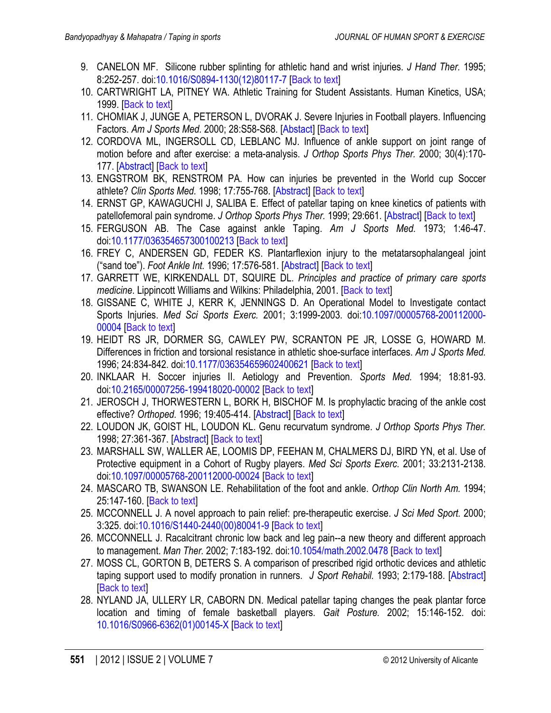- <span id="page-7-0"></span>9. CANELON MF. Silicone rubber splinting for athletic hand and wrist injuries. *J Hand Ther.* 1995; 8:252-257. doi[:10.1016/S0894-1130\(12\)80117-7](http://dx.doi.org/10.1016/S0894-1130(12)80117-7) [\[Back to text\]](#page-5-0)
- 10. CARTWRIGHT LA, PITNEY WA. Athletic Training for Student Assistants. Human Kinetics, USA; 1999. [\[Back to text](#page-2-0)]
- 11. CHOMIAK J, JUNGE A, PETERSON L, DVORAK J. Severe Injuries in Football players. Influencing Factors. *Am J Sports Med.* 2000; 28:S58-S68. [\[Abstact\]](http://www.ncbi.nlm.nih.gov/pubmed/11032109) [[Back to text\]](#page-3-0)
- 12. CORDOVA ML, INGERSOLL CD, LEBLANC MJ. Influence of ankle support on joint range of motion before and after exercise: a meta-analysis. *J Orthop Sports Phys Ther.* 2000; 30(4):170- 177. [\[Abstract\]](http://www.ncbi.nlm.nih.gov/pubmed/10778794) [[Back to text](#page-5-0)]
- 13. ENGSTROM BK, RENSTROM PA. How can injuries be prevented in the World cup Soccer athlete? *Clin Sports Med.* 1998; 17:755-768. [\[Abstract\]](http://www.ncbi.nlm.nih.gov/pubmed/9922899) [[Back to text](#page-3-0)]
- 14. ERNST GP, KAWAGUCHI J, SALIBA E. Effect of patellar taping on knee kinetics of patients with patellofemoral pain syndrome. *J Orthop Sports Phys Ther.* 1999; 29:661. [\[Abstract\]](http://www.ncbi.nlm.nih.gov/pubmed/10575643) [\[Back](#page-1-0) to text]
- 15. FERGUSON AB. The Case against ankle Taping. *Am J Sports Med.* 1973; 1:46-47. doi[:10.1177/036354657300100213](http://dx.doi.org/10.1177/036354657300100213) [[Back to text](#page-4-0)]
- 16. FREY C, ANDERSEN GD, FEDER KS. Plantarflexion injury to the metatarsophalangeal joint ("sand toe"). *Foot Ankle Int.* 1996; 17:576-581. [\[Abstract\]](http://www.ncbi.nlm.nih.gov/pubmed/8886789) [\[Back to text](#page-3-0)]
- 17. GARRETT WE, KIRKENDALL DT, SQUIRE DL. *Principles and practice of primary care sports medicine*. Lippincott Williams and Wilkins: Philadelphia, 2001. [[Back](#page-1-0) to text]
- 18. GISSANE C, WHITE J, KERR K, JENNINGS D. An Operational Model to Investigate contact Sports Injuries. *Med Sci Sports Exerc.* 2001; 3:1999-2003. doi[:10.1097/00005768-200112000-](http://dx.doi.org/10.1097/00005768-200112000-00004) [00004](http://dx.doi.org/10.1097/00005768-200112000-00004) [[Back to text\]](#page-1-0)
- 19. HEIDT RS JR, DORMER SG, CAWLEY PW, SCRANTON PE JR, LOSSE G, HOWARD M. Differences in friction and torsional resistance in athletic shoe-surface interfaces. *Am J Sports Med.*  1996; 24:834-842. doi[:10.1177/036354659602400621](http://dx.doi.org/10.1177/036354659602400621) [\[Back to text\]](#page-3-0)
- 20. INKLAAR H. Soccer injuries II. Aetiology and Prevention. *Sports Med.* 1994; 18:81-93. doi[:10.2165/00007256-199418020-00002](http://dx.doi.org/10.2165/00007256-199418020-00002) [\[Back to text\]](#page-1-0)
- 21. JEROSCH J, THORWESTERN L, BORK H, BISCHOF M. Is prophylactic bracing of the ankle cost effective? *Orthoped.* 1996; 19:405-414. [\[Abstract\]](http://www.ncbi.nlm.nih.gov/pubmed/8727334) [[Back to text](#page-5-0)]
- 22. LOUDON JK, GOIST HL, LOUDON KL. Genu recurvatum syndrome. *J Orthop Sports Phys Ther.*  1998; 27:361-367. [\[Abstract\]](http://www.ncbi.nlm.nih.gov/pubmed/9580896) [\[Back to text\]](#page-3-0)
- 23. MARSHALL SW, WALLER AE, LOOMIS DP, FEEHAN M, CHALMERS DJ, BIRD YN, et al. Use of Protective equipment in a Cohort of Rugby players. *Med Sci Sports Exerc.* 2001; 33:2131-2138. doi[:10.1097/00005768-200112000-00024](http://dx.doi.org/10.1097/00005768-200112000-00024) [\[Back to text\]](#page-3-0)
- 24. MASCARO TB, SWANSON LE. Rehabilitation of the foot and ankle. *Orthop Clin North Am.* 1994; 25:147-160. [\[Back to text](#page-5-0)]
- 25. MCCONNELL J. A novel approach to pain relief: pre-therapeutic exercise. *J Sci Med Sport.* 2000; 3:325. doi[:10.1016/S1440-2440\(00\)80041-9](http://dx.doi.org/10.1016/S1440-2440(00)80041-9) [\[Back to text](#page-3-0)]
- 26. MCCONNELL J. Racalcitrant chronic low back and leg pain--a new theory and different approach to management. *Man Ther.* 2002; 7:183-192. doi[:10.1054/math.2002.0478](http://dx.doi.org/10.1054/math.2002.0478) [\[Back to text](#page-3-0)]
- 27. MOSS CL, GORTON B, DETERS S. A comparison of prescribed rigid orthotic devices and athletic taping support used to modify pronation in runners. *J Sport Rehabil.* 1993; 2:179-188. [\[Abstract\]](http://journals.humankinetics.com/jsr-back-issues/jsrvolume2issue3august/acomparisonofprescribedrigidorthoticdevicesandathletictapingsupportusedtomodifypronationinrunners)  [\[Back to text\]](#page-5-0)
- 28. NYLAND JA, ULLERY LR, CABORN DN. Medical patellar taping changes the peak plantar force location and timing of female basketball players. *Gait Posture.* 2002; 15:146-152. doi: [10.1016/S0966-6362\(01\)00145-X](http://dx.doi.org/10.1016/S0966-6362(01)00145-X) [[Back to text\]](#page-1-0)